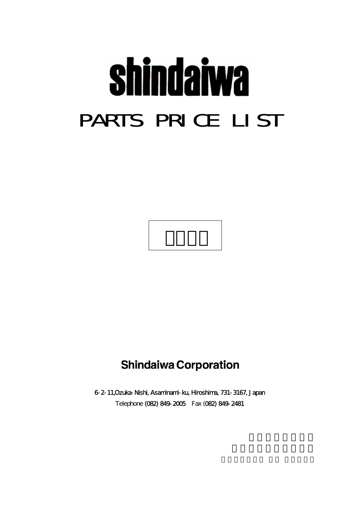## shindaiwa PARTS PRICE LIST



## **Shindaiwa Corporation**

6-2-11,Ozuka-Nishi, Asaminami-ku, Hiroshima, 731-3167, Japan Telephone (082) 849-2005 Fax (082) 849-2481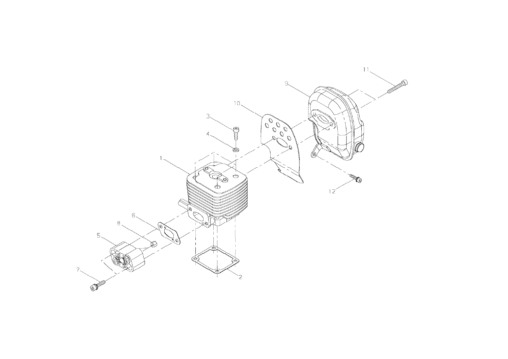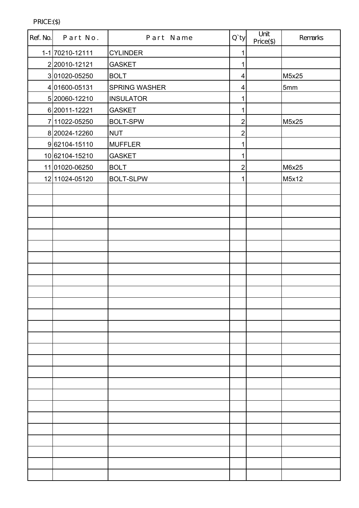PRICE:(\$)

| Ref. No. | Part No.        | Part Name        | $Q^{\cdot}$ ty   | Unit<br>Price(\$) | Remarks |
|----------|-----------------|------------------|------------------|-------------------|---------|
|          | 1-1 70210-12111 | <b>CYLINDER</b>  | 1                |                   |         |
|          | 220010-12121    | <b>GASKET</b>    | 1                |                   |         |
|          | 301020-05250    | <b>BOLT</b>      | $\overline{4}$   |                   | M5x25   |
|          | 401600-05131    | SPRING WASHER    | $\overline{4}$   |                   | 5mm     |
|          | 5 20060-12210   | <b>INSULATOR</b> | 1                |                   |         |
|          | 6 20011-12221   | <b>GASKET</b>    | 1                |                   |         |
|          | 711022-05250    | <b>BOLT-SPW</b>  | $\boldsymbol{2}$ |                   | M5x25   |
|          | 8 20024-12260   | <b>NUT</b>       | $\overline{2}$   |                   |         |
|          | 962104-15110    | <b>MUFFLER</b>   | 1                |                   |         |
|          | 10 62104-15210  | <b>GASKET</b>    | 1                |                   |         |
|          | 1101020-06250   | <b>BOLT</b>      | $\overline{2}$   |                   | M6x25   |
|          | 12 11024-05120  | <b>BOLT-SLPW</b> | 1                |                   | M5x12   |
|          |                 |                  |                  |                   |         |
|          |                 |                  |                  |                   |         |
|          |                 |                  |                  |                   |         |
|          |                 |                  |                  |                   |         |
|          |                 |                  |                  |                   |         |
|          |                 |                  |                  |                   |         |
|          |                 |                  |                  |                   |         |
|          |                 |                  |                  |                   |         |
|          |                 |                  |                  |                   |         |
|          |                 |                  |                  |                   |         |
|          |                 |                  |                  |                   |         |
|          |                 |                  |                  |                   |         |
|          |                 |                  |                  |                   |         |
|          |                 |                  |                  |                   |         |
|          |                 |                  |                  |                   |         |
|          |                 |                  |                  |                   |         |
|          |                 |                  |                  |                   |         |
|          |                 |                  |                  |                   |         |
|          |                 |                  |                  |                   |         |
|          |                 |                  |                  |                   |         |
|          |                 |                  |                  |                   |         |
|          |                 |                  |                  |                   |         |
|          |                 |                  |                  |                   |         |
|          |                 |                  |                  |                   |         |
|          |                 |                  |                  |                   |         |
|          |                 |                  |                  |                   |         |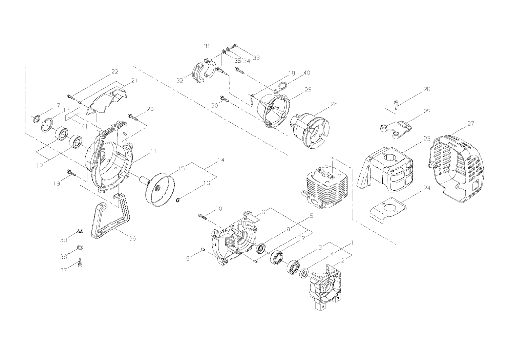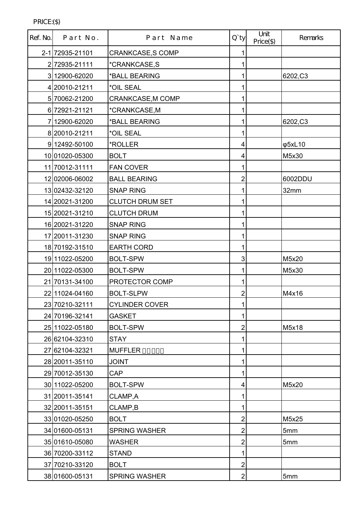| Ref. No. | Part No.        | Part Name                | $Q$ ty         | Unit<br>Price (\$) | <b>Remarks</b>       |
|----------|-----------------|--------------------------|----------------|--------------------|----------------------|
|          | 2-1 72935-21101 | <b>CRANKCASE,S COMP</b>  | 1              |                    |                      |
|          | 272935-21111    | *CRANKCASE,S             | 1              |                    |                      |
|          | 3 12900-62020   | *BALL BEARING            | 1              |                    | 6202, C <sub>3</sub> |
|          | 420010-21211    | *OIL SEAL                | 1              |                    |                      |
|          | 5 70062-21200   | <b>CRANKCASE, M COMP</b> | 1              |                    |                      |
|          | 6 72921-21121   | *CRANKCASE, M            | 1              |                    |                      |
|          | 7 12900-62020   | *BALL BEARING            | 1              |                    | 6202, C <sub>3</sub> |
|          | 8 20010-21211   | *OIL SEAL                | 1              |                    |                      |
|          | 912492-50100    | *ROLLER                  | 4              |                    | φ5xL10               |
|          | 1001020-05300   | <b>BOLT</b>              | 4              |                    | M5x30                |
|          | 11 70012-31111  | <b>FAN COVER</b>         | 1              |                    |                      |
|          | 12 02006-06002  | <b>BALL BEARING</b>      | $\overline{2}$ |                    | 6002DDU              |
|          | 13 02432-32120  | <b>SNAP RING</b>         | 1              |                    | 32mm                 |
|          | 14 20021-31200  | <b>CLUTCH DRUM SET</b>   | 1              |                    |                      |
|          | 15 20021-31210  | <b>CLUTCH DRUM</b>       | 1              |                    |                      |
|          | 16 20021-31220  | <b>SNAP RING</b>         | 1              |                    |                      |
|          | 17 20011-31230  | <b>SNAP RING</b>         | 1              |                    |                      |
|          | 18 70192-31510  | <b>EARTH CORD</b>        | 1              |                    |                      |
|          | 19 11022-05200  | <b>BOLT-SPW</b>          | 3              |                    | M5x20                |
|          | 20 11022-05300  | <b>BOLT-SPW</b>          | 1              |                    | M5x30                |
|          | 21 70131-34100  | PROTECTOR COMP           | 1              |                    |                      |
|          | 22 11024-04160  | <b>BOLT-SLPW</b>         | $\overline{2}$ |                    | M4x16                |
|          | 23 70210-32111  | <b>CYLINDER COVER</b>    | $\mathbf{1}$   |                    |                      |
|          | 24 70196-32141  | <b>GASKET</b>            |                |                    |                      |
|          | 25 11022-05180  | <b>BOLT-SPW</b>          | $\overline{2}$ |                    | M5x18                |
|          | 26 62104-32310  | <b>STAY</b>              | 1              |                    |                      |
|          | 27 62104-32321  | <b>MUFFLER</b>           | 1              |                    |                      |
|          | 28 20011-35110  | <b>JOINT</b>             | 1              |                    |                      |
|          | 29 70012-35130  | <b>CAP</b>               | 1              |                    |                      |
|          | 30 11022-05200  | <b>BOLT-SPW</b>          | 4              |                    | M5x20                |
|          | 31 20011-35141  | CLAMP,A                  | 1              |                    |                      |
|          | 32 20011-35151  | CLAMP,B                  | 1              |                    |                      |
|          | 33 01020-05250  | <b>BOLT</b>              | $\overline{2}$ |                    | M5x25                |
|          | 34 01600-05131  | <b>SPRING WASHER</b>     | $\overline{2}$ |                    | 5mm                  |
|          | 35 01610-05080  | WASHER                   | $\overline{2}$ |                    | 5mm                  |
|          | 36 70200-33112  | <b>STAND</b>             | 1              |                    |                      |
|          | 37 70210-33120  | <b>BOLT</b>              | $\overline{2}$ |                    |                      |
|          | 38 01600-05131  | <b>SPRING WASHER</b>     | $\overline{2}$ |                    | 5mm                  |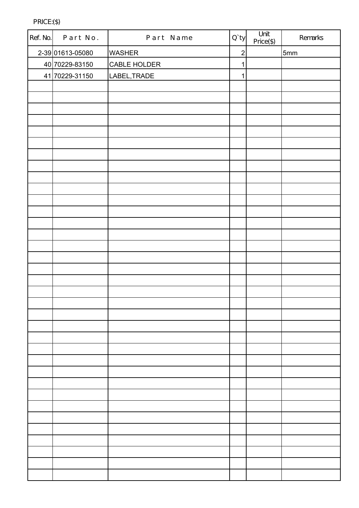| Ref. No. | Part No.         | Part Name     | $Q^{\cdot}$ ty | Unit<br>Price(\$) | Remarks |
|----------|------------------|---------------|----------------|-------------------|---------|
|          | 2-39 01613-05080 | <b>WASHER</b> | $\overline{c}$ |                   | 5mm     |
|          | 40 70229-83150   | CABLE HOLDER  | 1              |                   |         |
|          | 41 70229-31150   | LABEL, TRADE  | $\mathbf 1$    |                   |         |
|          |                  |               |                |                   |         |
|          |                  |               |                |                   |         |
|          |                  |               |                |                   |         |
|          |                  |               |                |                   |         |
|          |                  |               |                |                   |         |
|          |                  |               |                |                   |         |
|          |                  |               |                |                   |         |
|          |                  |               |                |                   |         |
|          |                  |               |                |                   |         |
|          |                  |               |                |                   |         |
|          |                  |               |                |                   |         |
|          |                  |               |                |                   |         |
|          |                  |               |                |                   |         |
|          |                  |               |                |                   |         |
|          |                  |               |                |                   |         |
|          |                  |               |                |                   |         |
|          |                  |               |                |                   |         |
|          |                  |               |                |                   |         |
|          |                  |               |                |                   |         |
|          |                  |               |                |                   |         |
|          |                  |               |                |                   |         |
|          |                  |               |                |                   |         |
|          |                  |               |                |                   |         |
|          |                  |               |                |                   |         |
|          |                  |               |                |                   |         |
|          |                  |               |                |                   |         |
|          |                  |               |                |                   |         |
|          |                  |               |                |                   |         |
|          |                  |               |                |                   |         |
|          |                  |               |                |                   |         |
|          |                  |               |                |                   |         |
|          |                  |               |                |                   |         |
|          |                  |               |                |                   |         |
|          |                  |               |                |                   |         |
|          |                  |               |                |                   |         |
|          |                  |               |                |                   |         |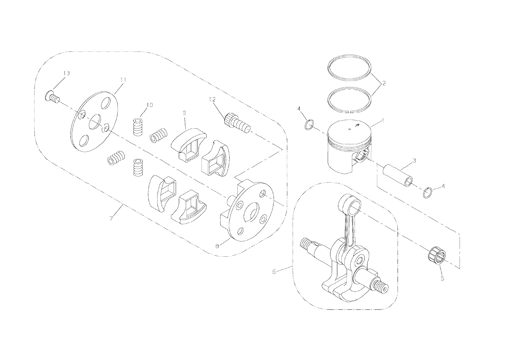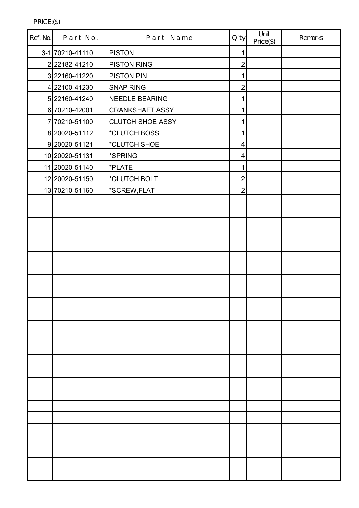| Ref. No. | Part No.        | Part Name               | $Q^{\cdot}$ ty          | Unit<br>Price(\$) | Remarks |
|----------|-----------------|-------------------------|-------------------------|-------------------|---------|
|          | 3-1 70210-41110 | <b>PISTON</b>           | 1                       |                   |         |
|          | 22182-41210     | <b>PISTON RING</b>      | $\overline{2}$          |                   |         |
|          | 3 22160-41220   | <b>PISTON PIN</b>       | 1                       |                   |         |
|          | 4 22100-41230   | <b>SNAP RING</b>        | $\overline{2}$          |                   |         |
|          | 522160-41240    | NEEDLE BEARING          | 1                       |                   |         |
|          | 6 70210-42001   | <b>CRANKSHAFT ASSY</b>  | 1                       |                   |         |
|          | 770210-51100    | <b>CLUTCH SHOE ASSY</b> | 1                       |                   |         |
|          | 8 20020-51112   | *CLUTCH BOSS            | 1                       |                   |         |
|          | 9 20020-51121   | *CLUTCH SHOE            | $\overline{\mathbf{4}}$ |                   |         |
|          | 10 20020-51131  | *SPRING                 | $\overline{\mathbf{4}}$ |                   |         |
|          | 11 20020-51140  | *PLATE                  | 1                       |                   |         |
|          | 12 20020-51150  | *CLUTCH BOLT            | $\overline{2}$          |                   |         |
|          | 13 70210-51160  | *SCREW, FLAT            | $\overline{2}$          |                   |         |
|          |                 |                         |                         |                   |         |
|          |                 |                         |                         |                   |         |
|          |                 |                         |                         |                   |         |
|          |                 |                         |                         |                   |         |
|          |                 |                         |                         |                   |         |
|          |                 |                         |                         |                   |         |
|          |                 |                         |                         |                   |         |
|          |                 |                         |                         |                   |         |
|          |                 |                         |                         |                   |         |
|          |                 |                         |                         |                   |         |
|          |                 |                         |                         |                   |         |
|          |                 |                         |                         |                   |         |
|          |                 |                         |                         |                   |         |
|          |                 |                         |                         |                   |         |
|          |                 |                         |                         |                   |         |
|          |                 |                         |                         |                   |         |
|          |                 |                         |                         |                   |         |
|          |                 |                         |                         |                   |         |
|          |                 |                         |                         |                   |         |
|          |                 |                         |                         |                   |         |
|          |                 |                         |                         |                   |         |
|          |                 |                         |                         |                   |         |
|          |                 |                         |                         |                   |         |
|          |                 |                         |                         |                   |         |
|          |                 |                         |                         |                   |         |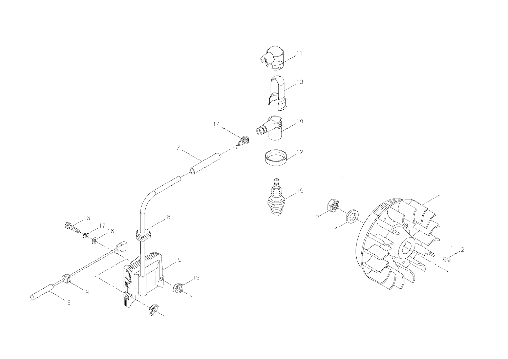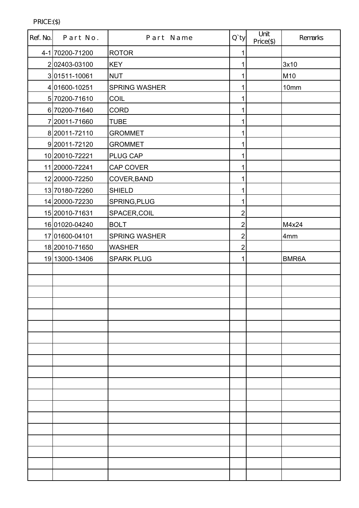PRICE:(\$)

| Ref. No. | Part No.        | Part Name            | $Q^{\cdot}$ ty | Unit<br>Price(\$) | Remarks |
|----------|-----------------|----------------------|----------------|-------------------|---------|
|          | 4-1 70200-71200 | <b>ROTOR</b>         | 1              |                   |         |
|          | 202403-03100    | <b>KEY</b>           | 1              |                   | 3x10    |
|          | 301511-10061    | <b>NUT</b>           | 1              |                   | M10     |
|          | 401600-10251    | <b>SPRING WASHER</b> | 1              |                   | 10mm    |
|          | 570200-71610    | COIL                 | 1              |                   |         |
|          | 6 70200-71640   | <b>CORD</b>          | 1              |                   |         |
|          | 7 20011-71660   | <b>TUBE</b>          | 1              |                   |         |
|          | 8 20011-72110   | <b>GROMMET</b>       | 1              |                   |         |
|          | 920011-72120    | <b>GROMMET</b>       | 1              |                   |         |
|          | 10 20010-72221  | PLUG CAP             | 1              |                   |         |
|          | 11 20000-72241  | CAP COVER            | 1              |                   |         |
|          | 12 20000-72250  | COVER, BAND          | 1              |                   |         |
|          | 13 70180-72260  | <b>SHIELD</b>        | 1              |                   |         |
|          | 14 20000-72230  | SPRING, PLUG         | 1              |                   |         |
|          | 15 20010-71631  | SPACER, COIL         | $\overline{2}$ |                   |         |
|          | 1601020-04240   | <b>BOLT</b>          | $\overline{2}$ |                   | M4x24   |
|          | 17 01600-04101  | <b>SPRING WASHER</b> | $\overline{2}$ |                   | 4mm     |
|          | 18 20010-71650  | <b>WASHER</b>        | $\mathbf 2$    |                   |         |
|          | 19 13000-13406  | <b>SPARK PLUG</b>    | 1              |                   | BMR6A   |
|          |                 |                      |                |                   |         |
|          |                 |                      |                |                   |         |
|          |                 |                      |                |                   |         |
|          |                 |                      |                |                   |         |
|          |                 |                      |                |                   |         |
|          |                 |                      |                |                   |         |
|          |                 |                      |                |                   |         |
|          |                 |                      |                |                   |         |
|          |                 |                      |                |                   |         |
|          |                 |                      |                |                   |         |
|          |                 |                      |                |                   |         |
|          |                 |                      |                |                   |         |
|          |                 |                      |                |                   |         |
|          |                 |                      |                |                   |         |
|          |                 |                      |                |                   |         |
|          |                 |                      |                |                   |         |
|          |                 |                      |                |                   |         |
|          |                 |                      |                |                   |         |
|          |                 |                      |                |                   |         |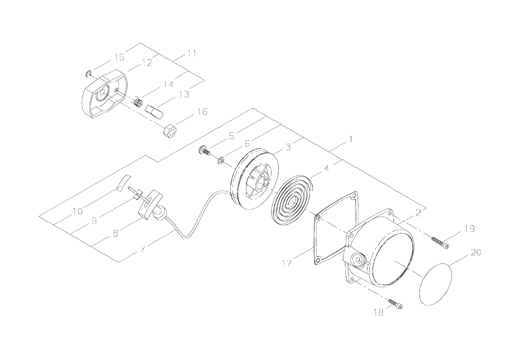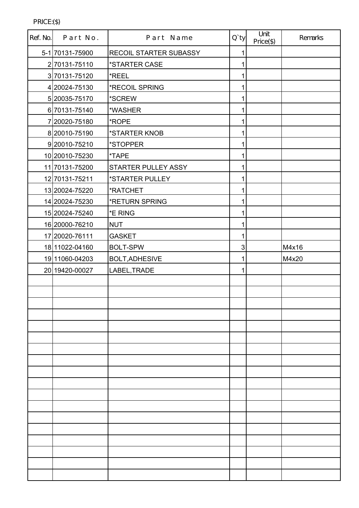| Ref. No. | Part No.        | Part Name                     | $Q$ ty                    | Unit<br>Price(\$) | Remarks |
|----------|-----------------|-------------------------------|---------------------------|-------------------|---------|
|          | 5-1 70131-75900 | <b>RECOIL STARTER SUBASSY</b> | 1                         |                   |         |
|          | 2 70131-75110   | *STARTER CASE                 | 1                         |                   |         |
|          | 370131-75120    | *REEL                         | 1                         |                   |         |
|          | 4 20024-75130   | *RECOIL SPRING                | 1                         |                   |         |
|          | 5 20035-75170   | *SCREW                        | 1                         |                   |         |
|          | 6 70131-75140   | *WASHER                       | 1                         |                   |         |
|          | 720020-75180    | *ROPE                         | 1                         |                   |         |
|          | 8 20010-75190   | *STARTER KNOB                 | 1                         |                   |         |
|          | 920010-75210    | *STOPPER                      | 1                         |                   |         |
|          | 10 20010-75230  | *TAPE                         | 1                         |                   |         |
|          | 11 70131-75200  | STARTER PULLEY ASSY           | 1                         |                   |         |
|          | 12 70131-75211  | *STARTER PULLEY               | 1                         |                   |         |
|          | 13 20024-75220  | *RATCHET                      | 1                         |                   |         |
|          | 14 20024-75230  | *RETURN SPRING                | 1                         |                   |         |
|          | 15 20024-75240  | *E RING                       | 1                         |                   |         |
|          | 16 20000-76210  | <b>NUT</b>                    | 1                         |                   |         |
|          | 17 20020-76111  | <b>GASKET</b>                 | 1                         |                   |         |
|          | 18 11022-04160  | <b>BOLT-SPW</b>               | $\ensuremath{\mathsf{3}}$ |                   | M4x16   |
|          | 19 11060-04203  | <b>BOLT, ADHESIVE</b>         | 1                         |                   | M4x20   |
|          | 20 19420-00027  | LABEL, TRADE                  | 1                         |                   |         |
|          |                 |                               |                           |                   |         |
|          |                 |                               |                           |                   |         |
|          |                 |                               |                           |                   |         |
|          |                 |                               |                           |                   |         |
|          |                 |                               |                           |                   |         |
|          |                 |                               |                           |                   |         |
|          |                 |                               |                           |                   |         |
|          |                 |                               |                           |                   |         |
|          |                 |                               |                           |                   |         |
|          |                 |                               |                           |                   |         |
|          |                 |                               |                           |                   |         |
|          |                 |                               |                           |                   |         |
|          |                 |                               |                           |                   |         |
|          |                 |                               |                           |                   |         |
|          |                 |                               |                           |                   |         |
|          |                 |                               |                           |                   |         |
|          |                 |                               |                           |                   |         |
|          |                 |                               |                           |                   |         |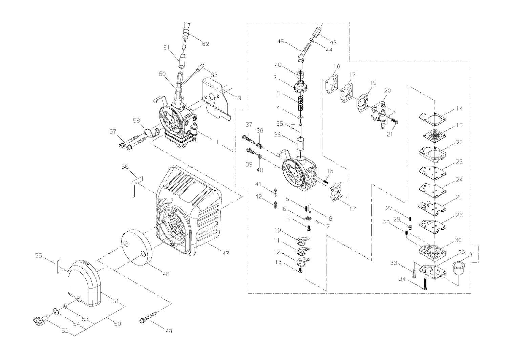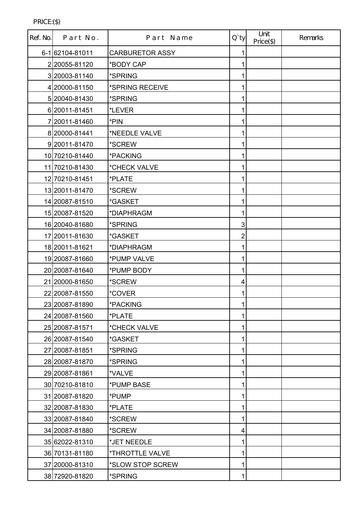| Ref. No. | Part No.        | Part Name              | $Q$ ty                    | Unit<br>Price (\$) | Remarks |
|----------|-----------------|------------------------|---------------------------|--------------------|---------|
|          | 6-1 62104-81011 | <b>CARBURETOR ASSY</b> | 1                         |                    |         |
|          | 2 20055-81120   | *BODY CAP              | 1                         |                    |         |
|          | 3 20003-81140   | *SPRING                | 1                         |                    |         |
|          | 4 20000-81150   | *SPRING RECEIVE        | 1                         |                    |         |
|          | 5 20040-81430   | *SPRING                | 1                         |                    |         |
|          | 6 20011-81451   | *LEVER                 | 1                         |                    |         |
|          | 7 20011-81460   | *PIN                   |                           |                    |         |
|          | 8 20000-81441   | *NEEDLE VALVE          | 1                         |                    |         |
|          | 9 20011-81470   | *SCREW                 | 1                         |                    |         |
|          | 10 70210-81440  | *PACKING               | 1                         |                    |         |
|          | 11 70210-81430  | *CHECK VALVE           |                           |                    |         |
|          | 12 70210-81451  | *PLATE                 | 1                         |                    |         |
|          | 13 20011-81470  | *SCREW                 | 1                         |                    |         |
|          | 14 20087-81510  | *GASKET                | 1                         |                    |         |
|          | 15 20087-81520  | *DIAPHRAGM             | 1                         |                    |         |
|          | 16 20040-81680  | *SPRING                | $\ensuremath{\mathsf{3}}$ |                    |         |
|          | 17 20011-81630  | *GASKET                | $\overline{2}$            |                    |         |
|          | 18 20011-81621  | *DIAPHRAGM             |                           |                    |         |
|          | 19 20087-81660  | *PUMP VALVE            | 1                         |                    |         |
|          | 20 20087-81640  | *PUMP BODY             | 1                         |                    |         |
|          | 21 20000-81650  | *SCREW                 | 4                         |                    |         |
|          | 22 20087-81550  | *COVER                 | 1                         |                    |         |
|          | 23 20087-81890  | *PACKING               | $\mathbf{1}$              |                    |         |
|          | 24 20087-81560  | *PLATE                 |                           |                    |         |
|          | 25 20087-81571  | *CHECK VALVE           | 1                         |                    |         |
|          | 26 20087-81540  | *GASKET                | 1                         |                    |         |
|          | 27 20087-81851  | *SPRING                | 1                         |                    |         |
|          | 28 20087-81870  | *SPRING                | 1                         |                    |         |
|          | 29 20087-81861  | *VALVE                 | 1                         |                    |         |
|          | 30 70210-81810  | *PUMP BASE             | 1                         |                    |         |
|          | 31 20087-81820  | *PUMP                  | 1                         |                    |         |
|          | 32 20087-81830  | *PLATE                 | 1                         |                    |         |
|          | 33 20087-81840  | *SCREW                 | 1                         |                    |         |
|          | 34 20087-81880  | *SCREW                 | 4                         |                    |         |
|          | 35 62022-81310  | *JET NEEDLE            | 1                         |                    |         |
|          | 36 70131-81180  | *THROTTLE VALVE        |                           |                    |         |
|          | 37 20000-81310  | *SLOW STOP SCREW       | 1                         |                    |         |
|          | 38 72920-81820  | *SPRING                | 1                         |                    |         |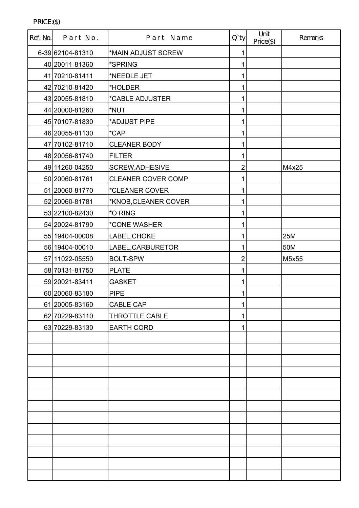| Ref. No. | Part No.         | Part Name                    | $Q$ ty         | Unit<br>Price(\$) | Remarks |
|----------|------------------|------------------------------|----------------|-------------------|---------|
|          | 6-39 62104-81310 | *MAIN ADJUST SCREW           | 1              |                   |         |
|          | 40 20011-81360   | *SPRING                      | 1              |                   |         |
|          | 41 70210-81411   | *NEEDLE JET                  | 1              |                   |         |
|          | 42 70210-81420   | *HOLDER                      | 1              |                   |         |
|          | 43 20055-81810   | *CABLE ADJUSTER              | 1              |                   |         |
|          | 44 20000-81260   | *NUT                         | 1              |                   |         |
|          | 45 70107-81830   | *ADJUST PIPE                 | 1              |                   |         |
|          | 46 20055-81130   | *CAP                         | 1              |                   |         |
|          | 47 70102-81710   | <b>CLEANER BODY</b>          | 1              |                   |         |
|          | 48 20056-81740   | <b>FILTER</b>                | 1              |                   |         |
|          | 49 11260-04250   | SCREW, ADHESIVE              | $\overline{2}$ |                   | M4x25   |
|          | 50 20060-81761   | <b>CLEANER COVER COMP</b>    | 1              |                   |         |
|          | 51 20060-81770   | <i><b>*CLEANER COVER</b></i> | 1              |                   |         |
|          | 52 20060-81781   | *KNOB, CLEANER COVER         | 1              |                   |         |
|          | 53 22100-82430   | *O RING                      | 1              |                   |         |
|          | 54 20024-81790   | *CONE WASHER                 | 1              |                   |         |
|          | 55 19404-00008   | LABEL, CHOKE                 | 1              |                   | 25M     |
|          | 56 19404-00010   | LABEL, CARBURETOR            | 1              |                   | 50M     |
|          | 57 11022-05550   | <b>BOLT-SPW</b>              | $\overline{2}$ |                   | M5x55   |
|          | 58 70131-81750   | <b>PLATE</b>                 | 1              |                   |         |
|          | 59 20021-83411   | <b>GASKET</b>                | 1              |                   |         |
|          | 60 20060-83180   | <b>PIPE</b>                  | 1              |                   |         |
|          | 61 20005-83160   | CABLE CAP                    | $\mathbf{1}$   |                   |         |
|          | 62 70229-83110   | <b>THROTTLE CABLE</b>        |                |                   |         |
|          | 63 70229-83130   | <b>EARTH CORD</b>            | 1              |                   |         |
|          |                  |                              |                |                   |         |
|          |                  |                              |                |                   |         |
|          |                  |                              |                |                   |         |
|          |                  |                              |                |                   |         |
|          |                  |                              |                |                   |         |
|          |                  |                              |                |                   |         |
|          |                  |                              |                |                   |         |
|          |                  |                              |                |                   |         |
|          |                  |                              |                |                   |         |
|          |                  |                              |                |                   |         |
|          |                  |                              |                |                   |         |
|          |                  |                              |                |                   |         |
|          |                  |                              |                |                   |         |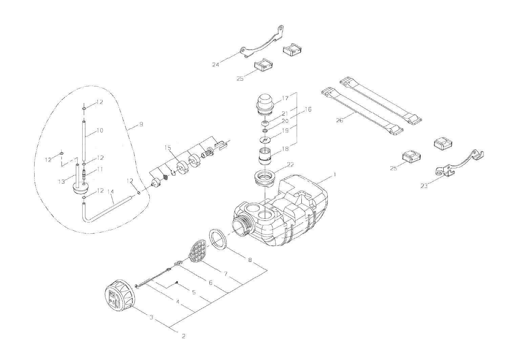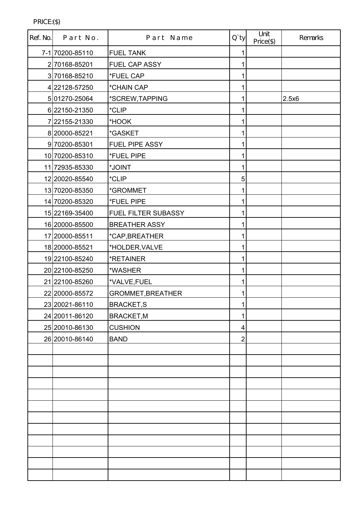| Ref. No. | Part No.        | Part Name                  | $Q$ ty         | Unit<br>Price(\$) | <b>Remarks</b> |
|----------|-----------------|----------------------------|----------------|-------------------|----------------|
|          | 7-1 70200-85110 | <b>FUEL TANK</b>           | 1              |                   |                |
|          | 270168-85201    | FUEL CAP ASSY              | 1              |                   |                |
|          | 370168-85210    | *FUEL CAP                  | 1              |                   |                |
|          | 4 22128-57250   | *CHAIN CAP                 | 1              |                   |                |
|          | 501270-25064    | *SCREW, TAPPING            | 1              |                   | 2.5x6          |
|          | 6 22150-21350   | *CLIP                      | 1              |                   |                |
|          | 722155-21330    | *HOOK                      | 1              |                   |                |
|          | 8 20000-85221   | *GASKET                    | 1              |                   |                |
|          | 970200-85301    | <b>FUEL PIPE ASSY</b>      | 1              |                   |                |
|          | 10 70200-85310  | *FUEL PIPE                 | 1              |                   |                |
|          | 11 72935-85330  | TIOU*                      | 1              |                   |                |
|          | 12 20020-85540  | *CLIP                      | 5              |                   |                |
|          | 13 70200-85350  | *GROMMET                   | 1              |                   |                |
|          | 14 70200-85320  | <i><b>*FUEL PIPE</b></i>   | 1              |                   |                |
|          | 15 22169-35400  | <b>FUEL FILTER SUBASSY</b> | 1              |                   |                |
|          | 16 20000-85500  | <b>BREATHER ASSY</b>       | 1              |                   |                |
|          | 17 20000-85511  | *CAP,BREATHER              | 1              |                   |                |
|          | 18 20000-85521  | *HOLDER, VALVE             | 1              |                   |                |
|          | 19 22100-85240  | *RETAINER                  | 1              |                   |                |
|          | 20 22100-85250  | *WASHER                    | 1              |                   |                |
|          | 21 22100-85260  | *VALVE, FUEL               | 1              |                   |                |
|          | 22 20000-85572  | <b>GROMMET, BREATHER</b>   | 1              |                   |                |
|          | 23 20021-86110  | <b>BRACKET,S</b>           | 1              |                   |                |
|          | 24 20011-86120  | <b>BRACKET,M</b>           |                |                   |                |
|          | 25 20010-86130  | <b>CUSHION</b>             | 4              |                   |                |
|          | 26 20010-86140  | <b>BAND</b>                | $\overline{2}$ |                   |                |
|          |                 |                            |                |                   |                |
|          |                 |                            |                |                   |                |
|          |                 |                            |                |                   |                |
|          |                 |                            |                |                   |                |
|          |                 |                            |                |                   |                |
|          |                 |                            |                |                   |                |
|          |                 |                            |                |                   |                |
|          |                 |                            |                |                   |                |
|          |                 |                            |                |                   |                |
|          |                 |                            |                |                   |                |
|          |                 |                            |                |                   |                |
|          |                 |                            |                |                   |                |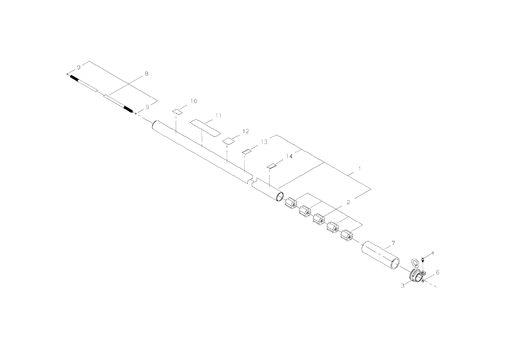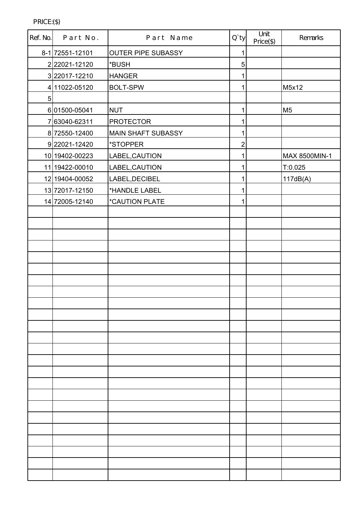| Ref. No. | Part No.        | Part Name                 | $Q$ ty      | Unit<br>Price(\$) | Remarks        |
|----------|-----------------|---------------------------|-------------|-------------------|----------------|
|          | 8-1 72551-12101 | <b>OUTER PIPE SUBASSY</b> | 1           |                   |                |
|          | 22021-12120     | *BUSH                     | $\,$ 5 $\,$ |                   |                |
|          | 322017-12210    | <b>HANGER</b>             | 1           |                   |                |
|          | 411022-05120    | <b>BOLT-SPW</b>           | 1           |                   | M5x12          |
| 5        |                 |                           |             |                   |                |
|          | 601500-05041    | <b>NUT</b>                | 1           |                   | M <sub>5</sub> |
|          | 763040-62311    | <b>PROTECTOR</b>          | 1           |                   |                |
|          | 8 72550-12400   | <b>MAIN SHAFT SUBASSY</b> | 1           |                   |                |
|          | 922021-12420    | *STOPPER                  | $\mathbf 2$ |                   |                |
|          | 10 19402-00223  | LABEL, CAUTION            | 1           |                   | MAX 8500MIN-1  |
|          | 11 19422-00010  | LABEL, CAUTION            | 1           |                   | T:0.025        |
|          | 12 19404-00052  | LABEL, DECIBEL            | 1           |                   | 117dB(A)       |
|          | 13 72017-12150  | *HANDLE LABEL             | 1           |                   |                |
|          | 14 72005-12140  | *CAUTION PLATE            | 1           |                   |                |
|          |                 |                           |             |                   |                |
|          |                 |                           |             |                   |                |
|          |                 |                           |             |                   |                |
|          |                 |                           |             |                   |                |
|          |                 |                           |             |                   |                |
|          |                 |                           |             |                   |                |
|          |                 |                           |             |                   |                |
|          |                 |                           |             |                   |                |
|          |                 |                           |             |                   |                |
|          |                 |                           |             |                   |                |
|          |                 |                           |             |                   |                |
|          |                 |                           |             |                   |                |
|          |                 |                           |             |                   |                |
|          |                 |                           |             |                   |                |
|          |                 |                           |             |                   |                |
|          |                 |                           |             |                   |                |
|          |                 |                           |             |                   |                |
|          |                 |                           |             |                   |                |
|          |                 |                           |             |                   |                |
|          |                 |                           |             |                   |                |
|          |                 |                           |             |                   |                |
|          |                 |                           |             |                   |                |
|          |                 |                           |             |                   |                |
|          |                 |                           |             |                   |                |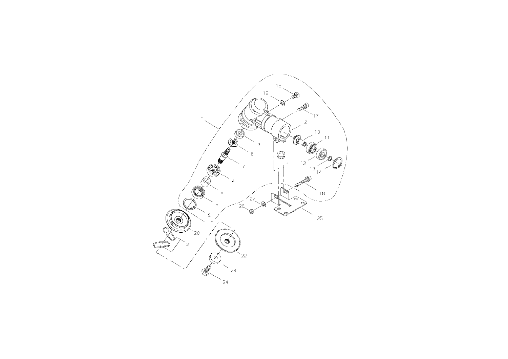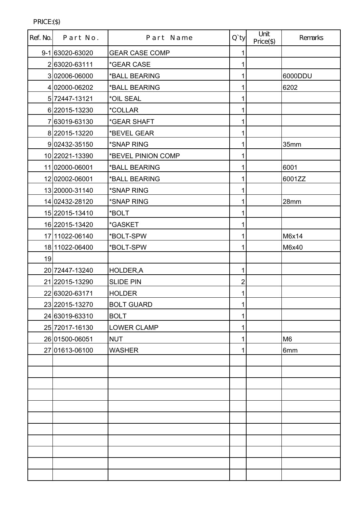| Ref. No. | Part No.        | Part Name             | $Q$ ty         | Unit<br>Price(\$) | Remarks        |
|----------|-----------------|-----------------------|----------------|-------------------|----------------|
|          | 9-1 63020-63020 | <b>GEAR CASE COMP</b> | 1              |                   |                |
|          | 263020-63111    | *GEAR CASE            | 1              |                   |                |
|          | 302006-06000    | *BALL BEARING         | 1              |                   | 6000DDU        |
|          | 402000-06202    | *BALL BEARING         | 1              |                   | 6202           |
|          | 5 72447-13121   | *OIL SEAL             | 1              |                   |                |
|          | 6 22015-13230   | <i><b>*COLLAR</b></i> | 1              |                   |                |
|          | 763019-63130    | *GEAR SHAFT           | 1              |                   |                |
|          | 8 22015-13220   | *BEVEL GEAR           | 1              |                   |                |
|          | 902432-35150    | *SNAP RING            | 1              |                   | 35mm           |
|          | 10 22021-13390  | *BEVEL PINION COMP    | 1              |                   |                |
|          | 1102000-06001   | *BALL BEARING         | 1              |                   | 6001           |
|          | 12 02002-06001  | *BALL BEARING         | 1              |                   | 6001ZZ         |
|          | 13 20000-31140  | *SNAP RING            | 1              |                   |                |
|          | 14 02432-28120  | *SNAP RING            | 1              |                   | 28mm           |
|          | 15 22015-13410  | *BOLT                 | 1              |                   |                |
|          | 16 22015-13420  | *GASKET               | 1              |                   |                |
|          | 17 11022-06140  | *BOLT-SPW             | 1              |                   | M6x14          |
|          | 18 11022-06400  | *BOLT-SPW             | 1              |                   | M6x40          |
| 19       |                 |                       |                |                   |                |
|          | 20 72447-13240  | HOLDER, A             | 1              |                   |                |
|          | 21 22015-13290  | <b>SLIDE PIN</b>      | $\overline{c}$ |                   |                |
|          | 22 63020-63171  | <b>HOLDER</b>         | 1              |                   |                |
|          | 23 22015-13270  | <b>BOLT GUARD</b>     | $\mathbf{1}$   |                   |                |
|          | 24 63019-63310  | <b>BOLT</b>           |                |                   |                |
|          | 25 72017-16130  | <b>LOWER CLAMP</b>    | 1              |                   |                |
|          | 26 01500-06051  | <b>NUT</b>            | 1              |                   | M <sub>6</sub> |
|          | 27 01613-06100  | WASHER                |                |                   | 6mm            |
|          |                 |                       |                |                   |                |
|          |                 |                       |                |                   |                |
|          |                 |                       |                |                   |                |
|          |                 |                       |                |                   |                |
|          |                 |                       |                |                   |                |
|          |                 |                       |                |                   |                |
|          |                 |                       |                |                   |                |
|          |                 |                       |                |                   |                |
|          |                 |                       |                |                   |                |
|          |                 |                       |                |                   |                |
|          |                 |                       |                |                   |                |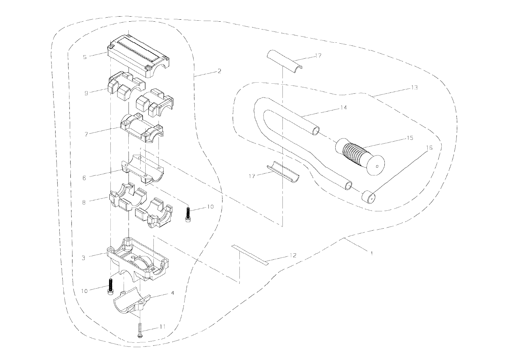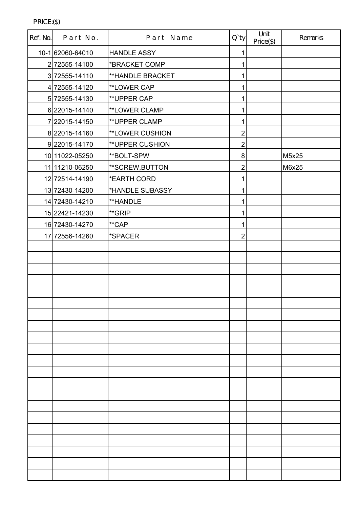PRICE:(\$)

| Ref. No. | Part No.         | Part Name               | $Q^{\cdot}$ ty | Unit<br>Price(\$) | Remarks |
|----------|------------------|-------------------------|----------------|-------------------|---------|
|          | 10-1 62060-64010 | <b>HANDLE ASSY</b>      | 1              |                   |         |
|          | 272555-14100     | *BRACKET COMP           | $\mathbf{1}$   |                   |         |
|          | 372555-14110     | <b>**HANDLE BRACKET</b> | $\mathbf{1}$   |                   |         |
|          | 4 72555-14120    | <b>**LOWER CAP</b>      | 1              |                   |         |
|          | 5 72555-14130    | **UPPER CAP             | $\mathbf{1}$   |                   |         |
|          | 6 22015-14140    | <b>**LOWER CLAMP</b>    | $\mathbf 1$    |                   |         |
|          | 7 22015-14150    | **UPPER CLAMP           | $\mathbf{1}$   |                   |         |
|          | 8 22015-14160    | <b>**LOWER CUSHION</b>  | $\mathbf{2}$   |                   |         |
|          | 922015-14170     | **UPPER CUSHION         | $\overline{2}$ |                   |         |
|          | 10 11022-05250   | **BOLT-SPW              | 8 <sup>1</sup> |                   | M5x25   |
|          | 11 1210-06250    | **SCREW, BUTTON         | $\overline{2}$ |                   | M6x25   |
|          | 12 72514-14190   | *EARTH CORD             | 1              |                   |         |
|          | 13 72430-14200   | *HANDLE SUBASSY         | $\mathbf{1}$   |                   |         |
|          | 14 72430-14210   | **HANDLE                | $\mathbf{1}$   |                   |         |
|          | 15 22421-14230   | **GRIP                  | $\mathbf{1}$   |                   |         |
|          | 16 72430-14270   | **CAP                   | 1              |                   |         |
|          | 17 72556-14260   | *SPACER                 | $\mathbf{2}$   |                   |         |
|          |                  |                         |                |                   |         |
|          |                  |                         |                |                   |         |
|          |                  |                         |                |                   |         |
|          |                  |                         |                |                   |         |
|          |                  |                         |                |                   |         |
|          |                  |                         |                |                   |         |
|          |                  |                         |                |                   |         |
|          |                  |                         |                |                   |         |
|          |                  |                         |                |                   |         |
|          |                  |                         |                |                   |         |
|          |                  |                         |                |                   |         |
|          |                  |                         |                |                   |         |
|          |                  |                         |                |                   |         |
|          |                  |                         |                |                   |         |
|          |                  |                         |                |                   |         |
|          |                  |                         |                |                   |         |
|          |                  |                         |                |                   |         |
|          |                  |                         |                |                   |         |
|          |                  |                         |                |                   |         |
|          |                  |                         |                |                   |         |
|          |                  |                         |                |                   |         |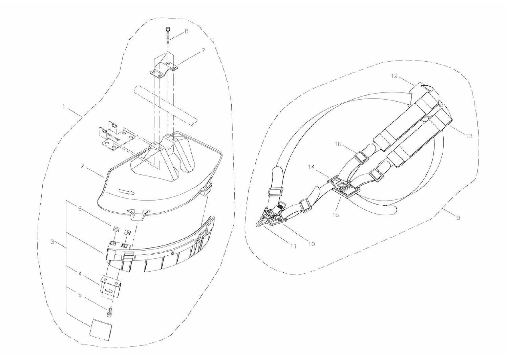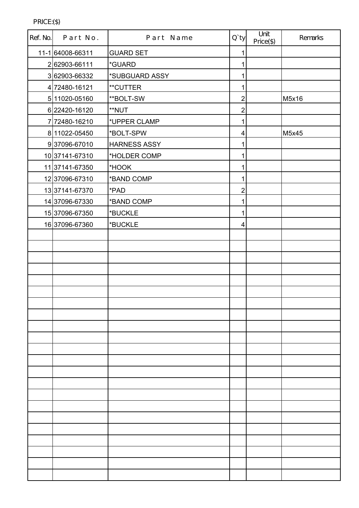| Ref. No. | Part No.         | Part Name           | $Q^{\cdot}$ ty          | Unit<br>Price(\$) | Remarks |
|----------|------------------|---------------------|-------------------------|-------------------|---------|
|          | 11-1 64008-66311 | <b>GUARD SET</b>    | 1                       |                   |         |
|          | 262903-66111     | *GUARD              | 1                       |                   |         |
|          | 362903-66332     | *SUBGUARD ASSY      | 1                       |                   |         |
|          | 472480-16121     | **CUTTER            | 1                       |                   |         |
|          | 5 11020-05160    | **BOLT-SW           | $\overline{c}$          |                   | M5x16   |
|          | 6 22420-16120    | **NUT               | $\overline{2}$          |                   |         |
|          | 772480-16210     | *UPPER CLAMP        | 1                       |                   |         |
|          | 811022-05450     | *BOLT-SPW           | $\overline{\mathbf{4}}$ |                   | M5x45   |
|          | 937096-67010     | <b>HARNESS ASSY</b> | 1                       |                   |         |
|          | 1037141-67310    | *HOLDER COMP        | 1                       |                   |         |
|          | 11 37141-67350   | *HOOK               | 1                       |                   |         |
|          | 12 37096-67310   | *BAND COMP          | 1                       |                   |         |
|          | 1337141-67370    | *PAD                | $\mathbf 2$             |                   |         |
|          | 14 37096-67330   | *BAND COMP          | 1                       |                   |         |
|          | 15 37096-67350   | *BUCKLE             | $\mathbf{1}$            |                   |         |
|          | 16 37096-67360   | *BUCKLE             | 4                       |                   |         |
|          |                  |                     |                         |                   |         |
|          |                  |                     |                         |                   |         |
|          |                  |                     |                         |                   |         |
|          |                  |                     |                         |                   |         |
|          |                  |                     |                         |                   |         |
|          |                  |                     |                         |                   |         |
|          |                  |                     |                         |                   |         |
|          |                  |                     |                         |                   |         |
|          |                  |                     |                         |                   |         |
|          |                  |                     |                         |                   |         |
|          |                  |                     |                         |                   |         |
|          |                  |                     |                         |                   |         |
|          |                  |                     |                         |                   |         |
|          |                  |                     |                         |                   |         |
|          |                  |                     |                         |                   |         |
|          |                  |                     |                         |                   |         |
|          |                  |                     |                         |                   |         |
|          |                  |                     |                         |                   |         |
|          |                  |                     |                         |                   |         |
|          |                  |                     |                         |                   |         |
|          |                  |                     |                         |                   |         |
|          |                  |                     |                         |                   |         |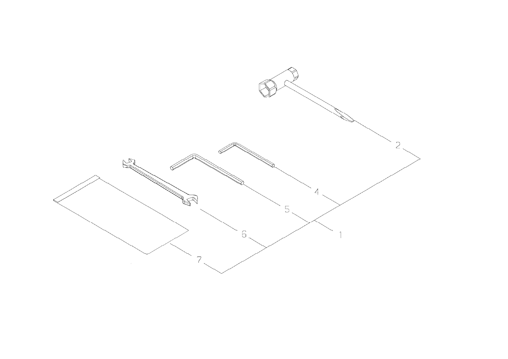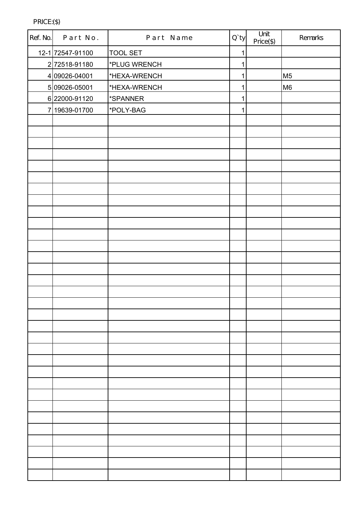| Ref. No. | Part No.         | Part Name       | $Q$ ty       | Unit<br>Price(\$) | Remarks        |
|----------|------------------|-----------------|--------------|-------------------|----------------|
|          | 12-1 72547-91100 | <b>TOOL SET</b> | 1            |                   |                |
|          | 272518-91180     | *PLUG WRENCH    | 1            |                   |                |
|          | 409026-04001     | *HEXA-WRENCH    | $\mathbf{1}$ |                   | M <sub>5</sub> |
|          | 509026-05001     | *HEXA-WRENCH    | 1            |                   | M <sub>6</sub> |
|          | 6 22000-91120    | *SPANNER        | 1            |                   |                |
|          | 7 19639-01700    | *POLY-BAG       | 1            |                   |                |
|          |                  |                 |              |                   |                |
|          |                  |                 |              |                   |                |
|          |                  |                 |              |                   |                |
|          |                  |                 |              |                   |                |
|          |                  |                 |              |                   |                |
|          |                  |                 |              |                   |                |
|          |                  |                 |              |                   |                |
|          |                  |                 |              |                   |                |
|          |                  |                 |              |                   |                |
|          |                  |                 |              |                   |                |
|          |                  |                 |              |                   |                |
|          |                  |                 |              |                   |                |
|          |                  |                 |              |                   |                |
|          |                  |                 |              |                   |                |
|          |                  |                 |              |                   |                |
|          |                  |                 |              |                   |                |
|          |                  |                 |              |                   |                |
|          |                  |                 |              |                   |                |
|          |                  |                 |              |                   |                |
|          |                  |                 |              |                   |                |
|          |                  |                 |              |                   |                |
|          |                  |                 |              |                   |                |
|          |                  |                 |              |                   |                |
|          |                  |                 |              |                   |                |
|          |                  |                 |              |                   |                |
|          |                  |                 |              |                   |                |
|          |                  |                 |              |                   |                |
|          |                  |                 |              |                   |                |
|          |                  |                 |              |                   |                |
|          |                  |                 |              |                   |                |
|          |                  |                 |              |                   |                |
|          |                  |                 |              |                   |                |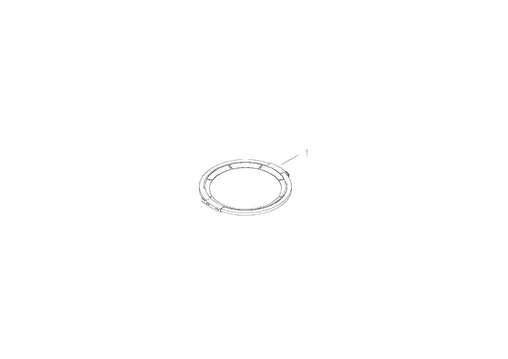